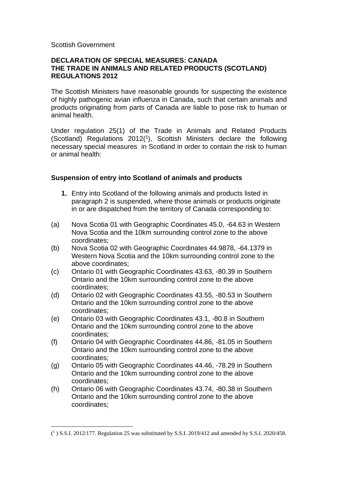#### Scottish Government

### **DECLARATION OF SPECIAL MEASURES: CANADA THE TRADE IN ANIMALS AND RELATED PRODUCTS (SCOTLAND) REGULATIONS 2012**

The Scottish Ministers have reasonable grounds for suspecting the existence of highly pathogenic avian influenza in Canada, such that certain animals and products originating from parts of Canada are liable to pose risk to human or animal health.

Under regulation 25(1) of the Trade in Animals and Related Products (Scotland) Regulations 2012(<sup>1</sup> ), Scottish Ministers declare the following necessary special measures in Scotland in order to contain the risk to human or animal health:

# **Suspension of entry into Scotland of animals and products**

- **1.** Entry into Scotland of the following animals and products listed in paragraph 2 is suspended, where those animals or products originate in or are dispatched from the territory of Canada corresponding to:
- (a) Nova Scotia 01 with Geographic Coordinates 45.0, -64.63 in Western Nova Scotia and the 10km surrounding control zone to the above coordinates;
- (b) Nova Scotia 02 with Geographic Coordinates 44.9878, -64.1379 in Western Nova Scotia and the 10km surrounding control zone to the above coordinates;
- (c) Ontario 01 with Geographic Coordinates 43.63, -80.39 in Southern Ontario and the 10km surrounding control zone to the above coordinates;
- (d) Ontario 02 with Geographic Coordinates 43.55, -80.53 in Southern Ontario and the 10km surrounding control zone to the above coordinates;
- (e) Ontario 03 with Geographic Coordinates 43.1, -80.8 in Southern Ontario and the 10km surrounding control zone to the above coordinates;
- (f) Ontario 04 with Geographic Coordinates 44.86, -81.05 in Southern Ontario and the 10km surrounding control zone to the above coordinates;
- (g) Ontario 05 with Geographic Coordinates 44.46, -78.29 in Southern Ontario and the 10km surrounding control zone to the above coordinates;
- (h) Ontario 06 with Geographic Coordinates 43.74, -80.38 in Southern Ontario and the 10km surrounding control zone to the above coordinates;

 $(^{1})$  S.S.I. 2012/177. Regulation 25 was substituted by S.S.I. 2019/412 and amended by S.S.I. 2020/458.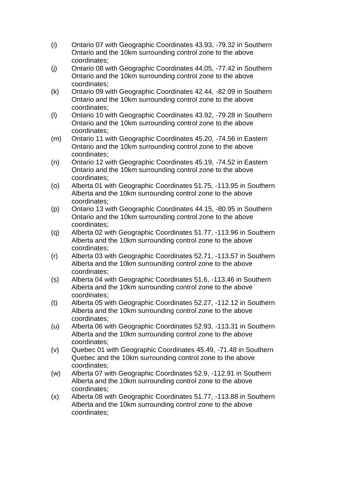- (i) Ontario 07 with Geographic Coordinates 43.93, -79.32 in Southern Ontario and the 10km surrounding control zone to the above coordinates;
- (j) Ontario 08 with Geographic Coordinates 44.05, -77.42 in Southern Ontario and the 10km surrounding control zone to the above coordinates;
- (k) Ontario 09 with Geographic Coordinates 42.44, -82.09 in Southern Ontario and the 10km surrounding control zone to the above coordinates;
- (l) Ontario 10 with Geographic Coordinates 43.92, -79.28 in Southern Ontario and the 10km surrounding control zone to the above coordinates;
- (m) Ontario 11 with Geographic Coordinates 45.20, -74.56 in Eastern Ontario and the 10km surrounding control zone to the above coordinates;
- (n) Ontario 12 with Geographic Coordinates 45.19, -74.52 in Eastern Ontario and the 10km surrounding control zone to the above coordinates;
- (o) Alberta 01 with Geographic Coordinates 51.75, -113.95 in Southern Alberta and the 10km surrounding control zone to the above coordinates;
- (p) Ontario 13 with Geographic Coordinates 44.15, -80.95 in Southern Ontario and the 10km surrounding control zone to the above coordinates;
- (q) Alberta 02 with Geographic Coordinates 51.77, -113.96 in Southern Alberta and the 10km surrounding control zone to the above coordinates;
- (r) Alberta 03 with Geographic Coordinates 52.71, -113.57 in Southern Alberta and the 10km surrounding control zone to the above coordinates;
- (s) Alberta 04 with Geographic Coordinates 51.6, -113.46 in Southern Alberta and the 10km surrounding control zone to the above coordinates;
- (t) Alberta 05 with Geographic Coordinates 52.27, -112.12 in Southern Alberta and the 10km surrounding control zone to the above coordinates;
- (u) Alberta 06 with Geographic Coordinates 52.93, -113.31 in Southern Alberta and the 10km surrounding control zone to the above coordinates;
- (v) Quebec 01 with Geographic Coordinates 45.49, -71.48 in Southern Quebec and the 10km surrounding control zone to the above coordinates;
- (w) Alberta 07 with Geographic Coordinates 52.9, -112.91 in Southern Alberta and the 10km surrounding control zone to the above coordinates;
- (x) Alberta 08 with Geographic Coordinates 51.77, -113.88 in Southern Alberta and the 10km surrounding control zone to the above coordinates;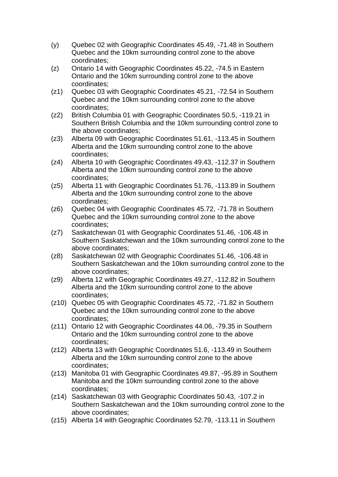- (y) Quebec 02 with Geographic Coordinates 45.49, -71.48 in Southern Quebec and the 10km surrounding control zone to the above coordinates;
- (z) Ontario 14 with Geographic Coordinates 45.22, -74.5 in Eastern Ontario and the 10km surrounding control zone to the above coordinates;
- (z1) Quebec 03 with Geographic Coordinates 45.21, -72.54 in Southern Quebec and the 10km surrounding control zone to the above coordinates;
- (z2) British Columbia 01 with Geographic Coordinates 50.5, -119.21 in Southern British Columbia and the 10km surrounding control zone to the above coordinates;
- (z3) Alberta 09 with Geographic Coordinates 51.61, -113.45 in Southern Alberta and the 10km surrounding control zone to the above coordinates;
- (z4) Alberta 10 with Geographic Coordinates 49.43, -112.37 in Southern Alberta and the 10km surrounding control zone to the above coordinates;
- (z5) Alberta 11 with Geographic Coordinates 51.76, -113.89 in Southern Alberta and the 10km surrounding control zone to the above coordinates;
- (z6) Quebec 04 with Geographic Coordinates 45.72, -71.78 in Southern Quebec and the 10km surrounding control zone to the above coordinates;
- (z7) Saskatchewan 01 with Geographic Coordinates 51.46, -106.48 in Southern Saskatchewan and the 10km surrounding control zone to the above coordinates;
- (z8) Saskatchewan 02 with Geographic Coordinates 51.46, -106.48 in Southern Saskatchewan and the 10km surrounding control zone to the above coordinates;
- (z9) Alberta 12 with Geographic Coordinates 49.27, -112.82 in Southern Alberta and the 10km surrounding control zone to the above coordinates;
- (z10) Quebec 05 with Geographic Coordinates 45.72, -71.82 in Southern Quebec and the 10km surrounding control zone to the above coordinates;
- (z11) Ontario 12 with Geographic Coordinates 44.06, -79.35 in Southern Ontario and the 10km surrounding control zone to the above coordinates;
- (z12) Alberta 13 with Geographic Coordinates 51.6, -113.49 in Southern Alberta and the 10km surrounding control zone to the above coordinates;
- (z13) Manitoba 01 with Geographic Coordinates 49.87, -95.89 in Southern Manitoba and the 10km surrounding control zone to the above coordinates;
- (z14) Saskatchewan 03 with Geographic Coordinates 50.43, -107.2 in Southern Saskatchewan and the 10km surrounding control zone to the above coordinates;
- (z15) Alberta 14 with Geographic Coordinates 52.79, -113.11 in Southern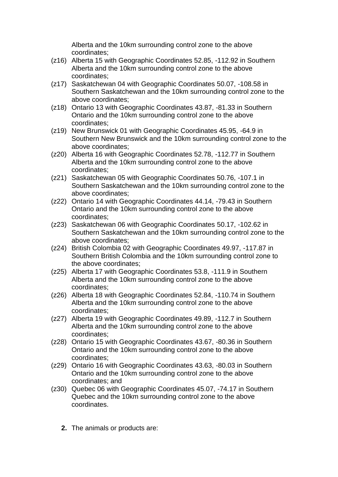Alberta and the 10km surrounding control zone to the above coordinates;

- (z16) Alberta 15 with Geographic Coordinates 52.85, -112.92 in Southern Alberta and the 10km surrounding control zone to the above coordinates;
- (z17) Saskatchewan 04 with Geographic Coordinates 50.07, -108.58 in Southern Saskatchewan and the 10km surrounding control zone to the above coordinates;
- (z18) Ontario 13 with Geographic Coordinates 43.87, -81.33 in Southern Ontario and the 10km surrounding control zone to the above coordinates;
- (z19) New Brunswick 01 with Geographic Coordinates 45.95, -64.9 in Southern New Brunswick and the 10km surrounding control zone to the above coordinates;
- (z20) Alberta 16 with Geographic Coordinates 52.78, -112.77 in Southern Alberta and the 10km surrounding control zone to the above coordinates;
- (z21) Saskatchewan 05 with Geographic Coordinates 50.76, -107.1 in Southern Saskatchewan and the 10km surrounding control zone to the above coordinates;
- (z22) Ontario 14 with Geographic Coordinates 44.14, -79.43 in Southern Ontario and the 10km surrounding control zone to the above coordinates;
- (z23) Saskatchewan 06 with Geographic Coordinates 50.17, -102.62 in Southern Saskatchewan and the 10km surrounding control zone to the above coordinates;
- (z24) British Colombia 02 with Geographic Coordinates 49.97, -117.87 in Southern British Colombia and the 10km surrounding control zone to the above coordinates;
- (z25) Alberta 17 with Geographic Coordinates 53.8, -111.9 in Southern Alberta and the 10km surrounding control zone to the above coordinates;
- (z26) Alberta 18 with Geographic Coordinates 52.84, -110.74 in Southern Alberta and the 10km surrounding control zone to the above coordinates;
- (z27) Alberta 19 with Geographic Coordinates 49.89, -112.7 in Southern Alberta and the 10km surrounding control zone to the above coordinates;
- (z28) Ontario 15 with Geographic Coordinates 43.67, -80.36 in Southern Ontario and the 10km surrounding control zone to the above coordinates;
- (z29) Ontario 16 with Geographic Coordinates 43.63, -80.03 in Southern Ontario and the 10km surrounding control zone to the above coordinates; and
- (z30) Quebec 06 with Geographic Coordinates 45.07, -74.17 in Southern Quebec and the 10km surrounding control zone to the above coordinates.
	- **2.** The animals or products are: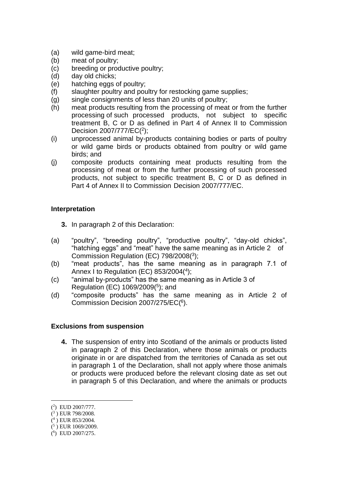- (a) wild game-bird meat;
- (b) meat of poultry;
- (c) breeding or productive poultry;
- (d) day old chicks;
- (e) hatching eggs of poultry;
- (f) slaughter poultry and poultry for restocking game supplies;
- (g) single consignments of less than 20 units of poultry;
- (h) meat products resulting from the processing of meat or from the further processing of such processed products, not subject to specific treatment B, C or D as defined in Part 4 of Annex II to Commission Decision 2007/777/EC(<sup>2</sup>);
- (i) unprocessed animal by-products containing bodies or parts of poultry or wild game birds or products obtained from poultry or wild game birds; and
- (j) composite products containing meat products resulting from the processing of meat or from the further processing of such processed products, not subject to specific treatment B, C or D as defined in Part 4 of Annex II to Commission Decision 2007/777/EC.

# **Interpretation**

- **3.** In paragraph 2 of this Declaration:
- (a) "poultry", "breeding poultry", "productive poultry", "day-old chicks", "hatching eggs" and "meat" have the same meaning as in Article 2 of Commission Regulation (EC) 798/2008(<sup>3</sup> );
- (b) "meat products", has the same meaning as in paragraph 7.1 of Annex I to Regulation (EC) 853/2004(4);
- (c) "animal by-products" has the same meaning as in Article 3 of Regulation (EC) 1069/2009(<sup>5</sup> ); and
- (d) "composite products" has the same meaning as in Article 2 of Commission Decision 2007/275/EC(<sup>6</sup>).

### **Exclusions from suspension**

**4.** The suspension of entry into Scotland of the animals or products listed in paragraph 2 of this Declaration, where those animals or products originate in or are dispatched from the territories of Canada as set out in paragraph 1 of the Declaration, shall not apply where those animals or products were produced before the relevant closing date as set out in paragraph 5 of this Declaration, and where the animals or products

<sup>(</sup> 2 ) EUD 2007/777.

<sup>(</sup> 3 ) EUR 798/2008.

<sup>(</sup> 4 ) EUR 853/2004.

 $(5)$  EUR 1069/2009.

<sup>(</sup> 6 ) EUD 2007/275.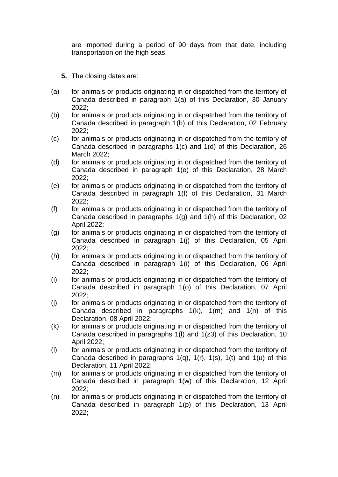are imported during a period of 90 days from that date, including transportation on the high seas.

- **5.** The closing dates are:
- (a) for animals or products originating in or dispatched from the territory of Canada described in paragraph 1(a) of this Declaration, 30 January 2022;
- (b) for animals or products originating in or dispatched from the territory of Canada described in paragraph 1(b) of this Declaration, 02 February 2022;
- (c) for animals or products originating in or dispatched from the territory of Canada described in paragraphs 1(c) and 1(d) of this Declaration, 26 March 2022;
- (d) for animals or products originating in or dispatched from the territory of Canada described in paragraph 1(e) of this Declaration, 28 March 2022;
- (e) for animals or products originating in or dispatched from the territory of Canada described in paragraph 1(f) of this Declaration, 31 March 2022;
- (f) for animals or products originating in or dispatched from the territory of Canada described in paragraphs 1(g) and 1(h) of this Declaration, 02 April 2022;
- (g) for animals or products originating in or dispatched from the territory of Canada described in paragraph 1(j) of this Declaration, 05 April 2022;
- (h) for animals or products originating in or dispatched from the territory of Canada described in paragraph 1(i) of this Declaration, 06 April 2022;
- (i) for animals or products originating in or dispatched from the territory of Canada described in paragraph 1(o) of this Declaration, 07 April 2022;
- (j) for animals or products originating in or dispatched from the territory of Canada described in paragraphs 1(k), 1(m) and 1(n) of this Declaration, 08 April 2022;
- (k) for animals or products originating in or dispatched from the territory of Canada described in paragraphs 1(l) and 1(z3) of this Declaration, 10 April 2022;
- (l) for animals or products originating in or dispatched from the territory of Canada described in paragraphs  $1(q)$ ,  $1(r)$ ,  $1(s)$ ,  $1(t)$  and  $1(u)$  of this Declaration, 11 April 2022;
- (m) for animals or products originating in or dispatched from the territory of Canada described in paragraph 1(w) of this Declaration, 12 April 2022;
- (n) for animals or products originating in or dispatched from the territory of Canada described in paragraph 1(p) of this Declaration, 13 April 2022;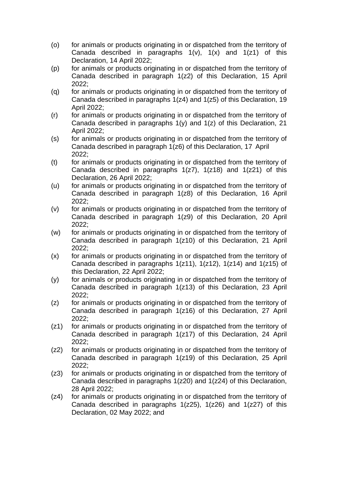- (o) for animals or products originating in or dispatched from the territory of Canada described in paragraphs  $1(v)$ ,  $1(x)$  and  $1(z1)$  of this Declaration, 14 April 2022;
- (p) for animals or products originating in or dispatched from the territory of Canada described in paragraph 1(z2) of this Declaration, 15 April 2022;
- (q) for animals or products originating in or dispatched from the territory of Canada described in paragraphs 1(z4) and 1(z5) of this Declaration, 19 April 2022;
- (r) for animals or products originating in or dispatched from the territory of Canada described in paragraphs 1(y) and 1(z) of this Declaration, 21 April 2022;
- (s) for animals or products originating in or dispatched from the territory of Canada described in paragraph 1(z6) of this Declaration, 17 April 2022;
- (t) for animals or products originating in or dispatched from the territory of Canada described in paragraphs 1(z7), 1(z18) and 1(z21) of this Declaration, 26 April 2022;
- (u) for animals or products originating in or dispatched from the territory of Canada described in paragraph 1(z8) of this Declaration, 16 April 2022;
- (v) for animals or products originating in or dispatched from the territory of Canada described in paragraph 1(z9) of this Declaration, 20 April 2022;
- (w) for animals or products originating in or dispatched from the territory of Canada described in paragraph 1(z10) of this Declaration, 21 April 2022;
- (x) for animals or products originating in or dispatched from the territory of Canada described in paragraphs  $1(z11)$ ,  $1(z12)$ ,  $1(z14)$  and  $1(z15)$  of this Declaration, 22 April 2022;
- (y) for animals or products originating in or dispatched from the territory of Canada described in paragraph 1(z13) of this Declaration, 23 April 2022;
- (z) for animals or products originating in or dispatched from the territory of Canada described in paragraph 1(z16) of this Declaration, 27 April 2022;
- (z1) for animals or products originating in or dispatched from the territory of Canada described in paragraph 1(z17) of this Declaration, 24 April 2022;
- (z2) for animals or products originating in or dispatched from the territory of Canada described in paragraph 1(z19) of this Declaration, 25 April 2022;
- (z3) for animals or products originating in or dispatched from the territory of Canada described in paragraphs 1(z20) and 1(z24) of this Declaration, 28 April 2022;
- (z4) for animals or products originating in or dispatched from the territory of Canada described in paragraphs  $1(z25)$ ,  $1(z26)$  and  $1(z27)$  of this Declaration, 02 May 2022; and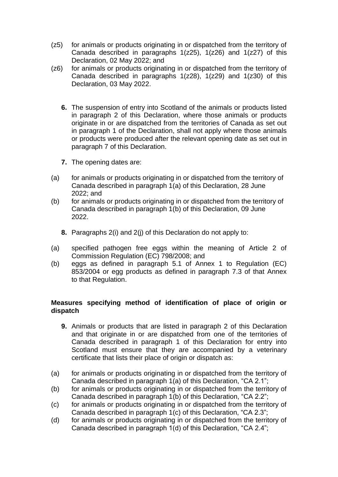- (z5) for animals or products originating in or dispatched from the territory of Canada described in paragraphs 1(z25), 1(z26) and 1(z27) of this Declaration, 02 May 2022; and
- (z6) for animals or products originating in or dispatched from the territory of Canada described in paragraphs 1(z28), 1(z29) and 1(z30) of this Declaration, 03 May 2022.
	- **6.** The suspension of entry into Scotland of the animals or products listed in paragraph 2 of this Declaration, where those animals or products originate in or are dispatched from the territories of Canada as set out in paragraph 1 of the Declaration, shall not apply where those animals or products were produced after the relevant opening date as set out in paragraph 7 of this Declaration.
	- **7.** The opening dates are:
- (a) for animals or products originating in or dispatched from the territory of Canada described in paragraph 1(a) of this Declaration, 28 June 2022; and
- (b) for animals or products originating in or dispatched from the territory of Canada described in paragraph 1(b) of this Declaration, 09 June 2022.
	- **8.** Paragraphs 2(i) and 2(j) of this Declaration do not apply to:
- (a) specified pathogen free eggs within the meaning of Article 2 of Commission Regulation (EC) 798/2008; and
- (b) eggs as defined in paragraph 5.1 of Annex 1 to Regulation (EC) 853/2004 or egg products as defined in paragraph 7.3 of that Annex to that Regulation.

# **Measures specifying method of identification of place of origin or dispatch**

- **9.** Animals or products that are listed in paragraph 2 of this Declaration and that originate in or are dispatched from one of the territories of Canada described in paragraph 1 of this Declaration for entry into Scotland must ensure that they are accompanied by a veterinary certificate that lists their place of origin or dispatch as:
- (a) for animals or products originating in or dispatched from the territory of Canada described in paragraph 1(a) of this Declaration, "CA 2.1";
- (b) for animals or products originating in or dispatched from the territory of Canada described in paragraph 1(b) of this Declaration, "CA 2.2";
- (c) for animals or products originating in or dispatched from the territory of Canada described in paragraph 1(c) of this Declaration, "CA 2.3";
- (d) for animals or products originating in or dispatched from the territory of Canada described in paragraph 1(d) of this Declaration, "CA 2.4";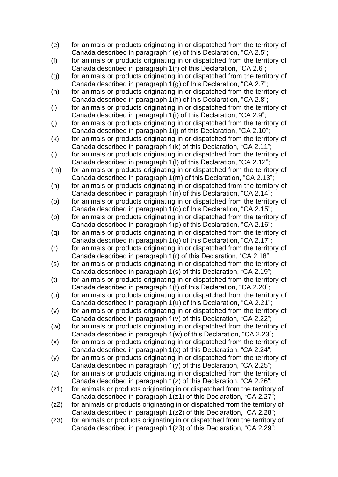- (e) for animals or products originating in or dispatched from the territory of Canada described in paragraph 1(e) of this Declaration, "CA 2.5";
- (f) for animals or products originating in or dispatched from the territory of Canada described in paragraph 1(f) of this Declaration, "CA 2.6";
- (g) for animals or products originating in or dispatched from the territory of Canada described in paragraph 1(g) of this Declaration, "CA 2.7";
- (h) for animals or products originating in or dispatched from the territory of Canada described in paragraph 1(h) of this Declaration, "CA 2.8";
- (i) for animals or products originating in or dispatched from the territory of Canada described in paragraph 1(i) of this Declaration, "CA 2.9";
- (j) for animals or products originating in or dispatched from the territory of Canada described in paragraph 1(j) of this Declaration, "CA 2.10";
- (k) for animals or products originating in or dispatched from the territory of Canada described in paragraph 1(k) of this Declaration, "CA 2.11";
- (l) for animals or products originating in or dispatched from the territory of Canada described in paragraph 1(l) of this Declaration, "CA 2.12";
- (m) for animals or products originating in or dispatched from the territory of Canada described in paragraph 1(m) of this Declaration, "CA 2.13";
- (n) for animals or products originating in or dispatched from the territory of Canada described in paragraph 1(n) of this Declaration, "CA 2.14";
- (o) for animals or products originating in or dispatched from the territory of Canada described in paragraph 1(o) of this Declaration, "CA 2.15";
- (p) for animals or products originating in or dispatched from the territory of Canada described in paragraph 1(p) of this Declaration, "CA 2.16";
- (q) for animals or products originating in or dispatched from the territory of Canada described in paragraph 1(q) of this Declaration, "CA 2.17";
- (r) for animals or products originating in or dispatched from the territory of Canada described in paragraph 1(r) of this Declaration, "CA 2.18";
- (s) for animals or products originating in or dispatched from the territory of Canada described in paragraph 1(s) of this Declaration, "CA 2.19";
- (t) for animals or products originating in or dispatched from the territory of Canada described in paragraph 1(t) of this Declaration, "CA 2.20";
- (u) for animals or products originating in or dispatched from the territory of Canada described in paragraph 1(u) of this Declaration, "CA 2.21";
- (v) for animals or products originating in or dispatched from the territory of Canada described in paragraph 1(v) of this Declaration, "CA 2.22";
- (w) for animals or products originating in or dispatched from the territory of Canada described in paragraph 1(w) of this Declaration, "CA 2.23";
- (x) for animals or products originating in or dispatched from the territory of Canada described in paragraph 1(x) of this Declaration, "CA 2.24";
- (y) for animals or products originating in or dispatched from the territory of Canada described in paragraph 1(y) of this Declaration, "CA 2.25";
- (z) for animals or products originating in or dispatched from the territory of Canada described in paragraph 1(z) of this Declaration, "CA 2.26";
- (z1) for animals or products originating in or dispatched from the territory of Canada described in paragraph 1(z1) of this Declaration, "CA 2.27";
- (z2) for animals or products originating in or dispatched from the territory of Canada described in paragraph 1(z2) of this Declaration, "CA 2.28";
- (z3) for animals or products originating in or dispatched from the territory of Canada described in paragraph 1(z3) of this Declaration, "CA 2.29";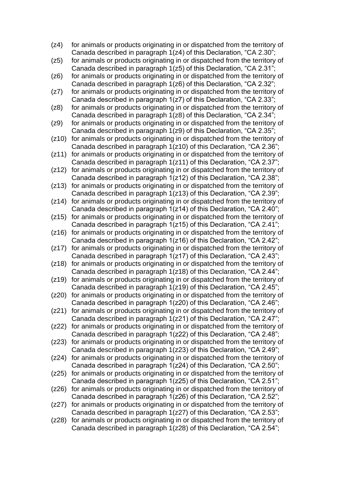- (z4) for animals or products originating in or dispatched from the territory of Canada described in paragraph 1(z4) of this Declaration, "CA 2.30";
- (z5) for animals or products originating in or dispatched from the territory of Canada described in paragraph 1(z5) of this Declaration, "CA 2.31";
- (z6) for animals or products originating in or dispatched from the territory of Canada described in paragraph 1(z6) of this Declaration, "CA 2.32";
- (z7) for animals or products originating in or dispatched from the territory of Canada described in paragraph 1(z7) of this Declaration, "CA 2.33";
- (z8) for animals or products originating in or dispatched from the territory of Canada described in paragraph 1(z8) of this Declaration, "CA 2.34";
- (z9) for animals or products originating in or dispatched from the territory of Canada described in paragraph 1(z9) of this Declaration, "CA 2.35";
- (z10) for animals or products originating in or dispatched from the territory of Canada described in paragraph 1(z10) of this Declaration, "CA 2.36";
- (z11) for animals or products originating in or dispatched from the territory of Canada described in paragraph 1(z11) of this Declaration, "CA 2.37";
- (z12) for animals or products originating in or dispatched from the territory of Canada described in paragraph 1(z12) of this Declaration, "CA 2.38";
- (z13) for animals or products originating in or dispatched from the territory of Canada described in paragraph 1(z13) of this Declaration, "CA 2.39";
- (z14) for animals or products originating in or dispatched from the territory of Canada described in paragraph 1(z14) of this Declaration, "CA 2.40";
- (z15) for animals or products originating in or dispatched from the territory of Canada described in paragraph 1(z15) of this Declaration, "CA 2.41";
- (z16) for animals or products originating in or dispatched from the territory of Canada described in paragraph 1(z16) of this Declaration, "CA 2.42";
- (z17) for animals or products originating in or dispatched from the territory of Canada described in paragraph 1(z17) of this Declaration, "CA 2.43";
- (z18) for animals or products originating in or dispatched from the territory of Canada described in paragraph 1(z18) of this Declaration, "CA 2.44";
- (z19) for animals or products originating in or dispatched from the territory of Canada described in paragraph 1(z19) of this Declaration, "CA 2.45";
- (z20) for animals or products originating in or dispatched from the territory of Canada described in paragraph 1(z20) of this Declaration, "CA 2.46";
- (z21) for animals or products originating in or dispatched from the territory of Canada described in paragraph 1(z21) of this Declaration, "CA 2.47";
- (z22) for animals or products originating in or dispatched from the territory of Canada described in paragraph 1(z22) of this Declaration, "CA 2.48";
- (z23) for animals or products originating in or dispatched from the territory of Canada described in paragraph 1(z23) of this Declaration, "CA 2.49";
- (z24) for animals or products originating in or dispatched from the territory of Canada described in paragraph 1(z24) of this Declaration, "CA 2.50";
- (z25) for animals or products originating in or dispatched from the territory of Canada described in paragraph 1(z25) of this Declaration, "CA 2.51";
- (z26) for animals or products originating in or dispatched from the territory of Canada described in paragraph 1(z26) of this Declaration, "CA 2.52";
- (z27) for animals or products originating in or dispatched from the territory of Canada described in paragraph 1(z27) of this Declaration, "CA 2.53";
- (z28) for animals or products originating in or dispatched from the territory of Canada described in paragraph 1(z28) of this Declaration, "CA 2.54";